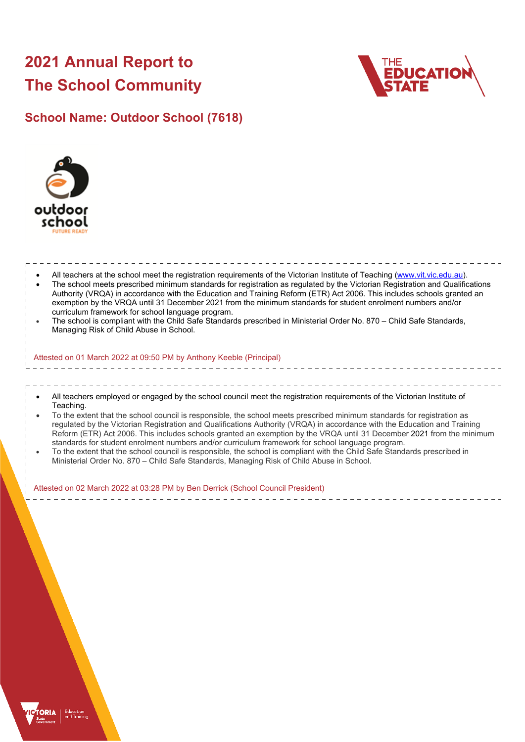# **2021 Annual Report to The School Community**



## **School Name: Outdoor School (7618)**



 All teachers at the school meet the registration requirements of the Victorian Institute of Teaching ([www.vit.vic.edu.au](https://www.vit.vic.edu.au/)). The school meets prescribed minimum standards for registration as regulated by the Victorian Registration and Qualifications Authority (VRQA) in accordance with the Education and Training Reform (ETR) Act 2006. This includes schools granted an exemption by the VRQA until 31 December 2021 from the minimum standards for student enrolment numbers and/or curriculum framework for school language program. The school is compliant with the Child Safe Standards prescribed in Ministerial Order No. 870 – Child Safe Standards, Managing Risk of Child Abuse in School. Attested on 01 March 2022 at 09:50 PM by Anthony Keeble (Principal) All teachers employed or engaged by the school council meet the registration requirements of the Victorian Institute of Teaching. To the extent that the school council is responsible, the school meets prescribed minimum standards for registration as regulated by the Victorian Registration and Qualifications Authority (VRQA) in accordance with the Education and Training Reform (ETR) Act 2006. This includes schools granted an exemption by the VRQA until 31 December 2021 from the minimum standards for student enrolment numbers and/or curriculum framework for school language program. To the extent that the school council is responsible, the school is compliant with the Child Safe Standards prescribed in Ministerial Order No. 870 – Child Safe Standards, Managing Risk of Child Abuse in School. Attested on 02 March 2022 at 03:28 PM by Ben Derrick (School Council President)

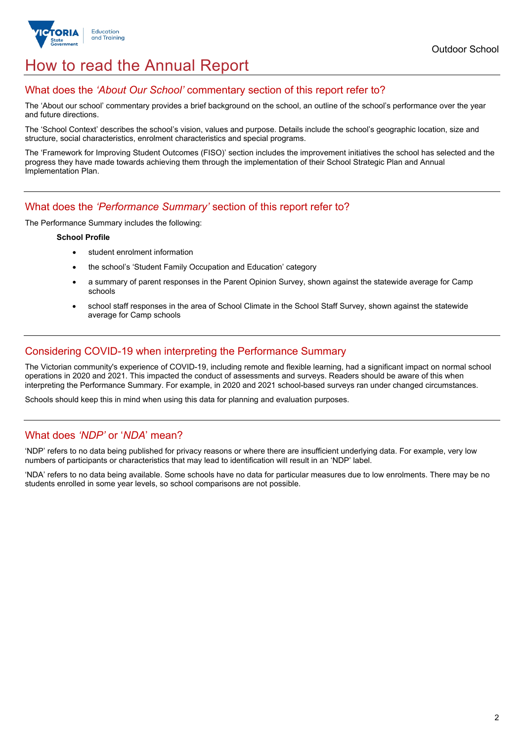

## How to read the Annual Report

#### What does the *'About Our School'* commentary section of this report refer to?

The 'About our school' commentary provides a brief background on the school, an outline of the school's performance over the year and future directions.

The 'School Context' describes the school's vision, values and purpose. Details include the school's geographic location, size and structure, social characteristics, enrolment characteristics and special programs.

The 'Framework for Improving Student Outcomes (FISO)' section includes the improvement initiatives the school has selected and the progress they have made towards achieving them through the implementation of their School Strategic Plan and Annual Implementation Plan.

#### What does the *'Performance Summary'* section of this report refer to?

The Performance Summary includes the following:

#### **School Profile**

- student enrolment information
- the school's 'Student Family Occupation and Education' category
- a summary of parent responses in the Parent Opinion Survey, shown against the statewide average for Camp schools
- school staff responses in the area of School Climate in the School Staff Survey, shown against the statewide average for Camp schools

#### Considering COVID-19 when interpreting the Performance Summary

The Victorian community's experience of COVID-19, including remote and flexible learning, had a significant impact on normal school operations in 2020 and 2021. This impacted the conduct of assessments and surveys. Readers should be aware of this when interpreting the Performance Summary. For example, in 2020 and 2021 school-based surveys ran under changed circumstances.

Schools should keep this in mind when using this data for planning and evaluation purposes.

#### What does *'NDP'* or '*NDA*' mean?

'NDP' refers to no data being published for privacy reasons or where there are insufficient underlying data. For example, very low numbers of participants or characteristics that may lead to identification will result in an 'NDP' label.

'NDA' refers to no data being available. Some schools have no data for particular measures due to low enrolments. There may be no students enrolled in some year levels, so school comparisons are not possible.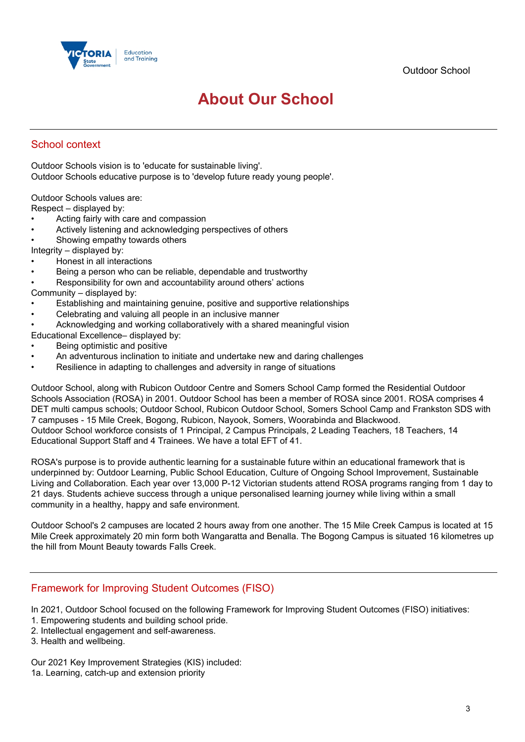

## **About Our School**

### School context

Outdoor Schools vision is to 'educate for sustainable living'. Outdoor Schools educative purpose is to 'develop future ready young people'.

Outdoor Schools values are:

Respect – displayed by:

- Acting fairly with care and compassion
- Actively listening and acknowledging perspectives of others
- Showing empathy towards others

Integrity – displayed by:

- Honest in all interactions
- Being a person who can be reliable, dependable and trustworthy
- Responsibility for own and accountability around others' actions

#### Community – displayed by:

- Establishing and maintaining genuine, positive and supportive relationships
- Celebrating and valuing all people in an inclusive manner
- Acknowledging and working collaboratively with a shared meaningful vision
- Educational Excellence– displayed by:
- Being optimistic and positive
- An adventurous inclination to initiate and undertake new and daring challenges
- Resilience in adapting to challenges and adversity in range of situations

Outdoor School, along with Rubicon Outdoor Centre and Somers School Camp formed the Residential Outdoor Schools Association (ROSA) in 2001. Outdoor School has been a member of ROSA since 2001. ROSA comprises 4 DET multi campus schools; Outdoor School, Rubicon Outdoor School, Somers School Camp and Frankston SDS with 7 campuses - 15 Mile Creek, Bogong, Rubicon, Nayook, Somers, Woorabinda and Blackwood. Outdoor School workforce consists of 1 Principal, 2 Campus Principals, 2 Leading Teachers, 18 Teachers, 14 Educational Support Staff and 4 Trainees. We have a total EFT of 41.

ROSA's purpose is to provide authentic learning for a sustainable future within an educational framework that is underpinned by: Outdoor Learning, Public School Education, Culture of Ongoing School Improvement, Sustainable Living and Collaboration. Each year over 13,000 P-12 Victorian students attend ROSA programs ranging from 1 day to 21 days. Students achieve success through a unique personalised learning journey while living within a small community in a healthy, happy and safe environment.

Outdoor School's 2 campuses are located 2 hours away from one another. The 15 Mile Creek Campus is located at 15 Mile Creek approximately 20 min form both Wangaratta and Benalla. The Bogong Campus is situated 16 kilometres up the hill from Mount Beauty towards Falls Creek.

#### Framework for Improving Student Outcomes (FISO)

In 2021, Outdoor School focused on the following Framework for Improving Student Outcomes (FISO) initiatives:

- 1. Empowering students and building school pride.
- 2. Intellectual engagement and self-awareness.
- 3. Health and wellbeing.

Our 2021 Key Improvement Strategies (KIS) included: 1a. Learning, catch-up and extension priority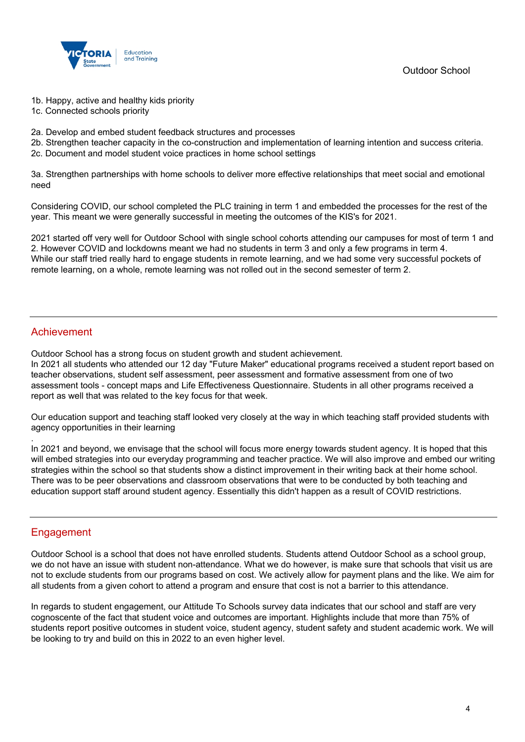

Outdoor School

- 1b. Happy, active and healthy kids priority
- 1c. Connected schools priority
- 2a. Develop and embed student feedback structures and processes
- 2b. Strengthen teacher capacity in the co-construction and implementation of learning intention and success criteria.
- 2c. Document and model student voice practices in home school settings

3a. Strengthen partnerships with home schools to deliver more effective relationships that meet social and emotional need

Considering COVID, our school completed the PLC training in term 1 and embedded the processes for the rest of the year. This meant we were generally successful in meeting the outcomes of the KIS's for 2021.

2021 started off very well for Outdoor School with single school cohorts attending our campuses for most of term 1 and 2. However COVID and lockdowns meant we had no students in term 3 and only a few programs in term 4. While our staff tried really hard to engage students in remote learning, and we had some very successful pockets of remote learning, on a whole, remote learning was not rolled out in the second semester of term 2.

#### Achievement

Outdoor School has a strong focus on student growth and student achievement.

In 2021 all students who attended our 12 day "Future Maker" educational programs received a student report based on teacher observations, student self assessment, peer assessment and formative assessment from one of two assessment tools - concept maps and Life Effectiveness Questionnaire. Students in all other programs received a report as well that was related to the key focus for that week.

Our education support and teaching staff looked very closely at the way in which teaching staff provided students with agency opportunities in their learning

In 2021 and beyond, we envisage that the school will focus more energy towards student agency. It is hoped that this will embed strategies into our everyday programming and teacher practice. We will also improve and embed our writing strategies within the school so that students show a distinct improvement in their writing back at their home school. There was to be peer observations and classroom observations that were to be conducted by both teaching and education support staff around student agency. Essentially this didn't happen as a result of COVID restrictions.

### Engagement

.

Outdoor School is a school that does not have enrolled students. Students attend Outdoor School as a school group, we do not have an issue with student non-attendance. What we do however, is make sure that schools that visit us are not to exclude students from our programs based on cost. We actively allow for payment plans and the like. We aim for all students from a given cohort to attend a program and ensure that cost is not a barrier to this attendance.

In regards to student engagement, our Attitude To Schools survey data indicates that our school and staff are very cognoscente of the fact that student voice and outcomes are important. Highlights include that more than 75% of students report positive outcomes in student voice, student agency, student safety and student academic work. We will be looking to try and build on this in 2022 to an even higher level.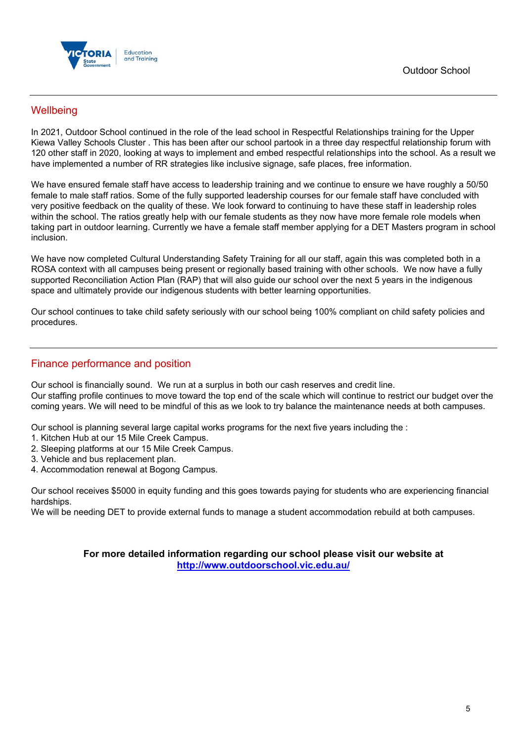



### **Wellbeing**

In 2021, Outdoor School continued in the role of the lead school in Respectful Relationships training for the Upper Kiewa Valley Schools Cluster . This has been after our school partook in a three day respectful relationship forum with 120 other staff in 2020, looking at ways to implement and embed respectful relationships into the school. As a result we have implemented a number of RR strategies like inclusive signage, safe places, free information.

We have ensured female staff have access to leadership training and we continue to ensure we have roughly a 50/50 female to male staff ratios. Some of the fully supported leadership courses for our female staff have concluded with very positive feedback on the quality of these. We look forward to continuing to have these staff in leadership roles within the school. The ratios greatly help with our female students as they now have more female role models when taking part in outdoor learning. Currently we have a female staff member applying for a DET Masters program in school inclusion.

We have now completed Cultural Understanding Safety Training for all our staff, again this was completed both in a ROSA context with all campuses being present or regionally based training with other schools. We now have a fully supported Reconciliation Action Plan (RAP) that will also quide our school over the next 5 years in the indigenous space and ultimately provide our indigenous students with better learning opportunities.

Our school continues to take child safety seriously with our school being 100% compliant on child safety policies and procedures.

#### Finance performance and position

Our school is financially sound. We run at a surplus in both our cash reserves and credit line. Our staffing profile continues to move toward the top end of the scale which will continue to restrict our budget over the coming years. We will need to be mindful of this as we look to try balance the maintenance needs at both campuses.

Our school is planning several large capital works programs for the next five years including the :

- 1. Kitchen Hub at our 15 Mile Creek Campus.
- 2. Sleeping platforms at our 15 Mile Creek Campus.
- 3. Vehicle and bus replacement plan.
- 4. Accommodation renewal at Bogong Campus.

Our school receives \$5000 in equity funding and this goes towards paying for students who are experiencing financial hardships.

We will be needing DET to provide external funds to manage a student accommodation rebuild at both campuses.

**For more detailed information regarding our school please visit our website at <http://www.outdoorschool.vic.edu.au/>**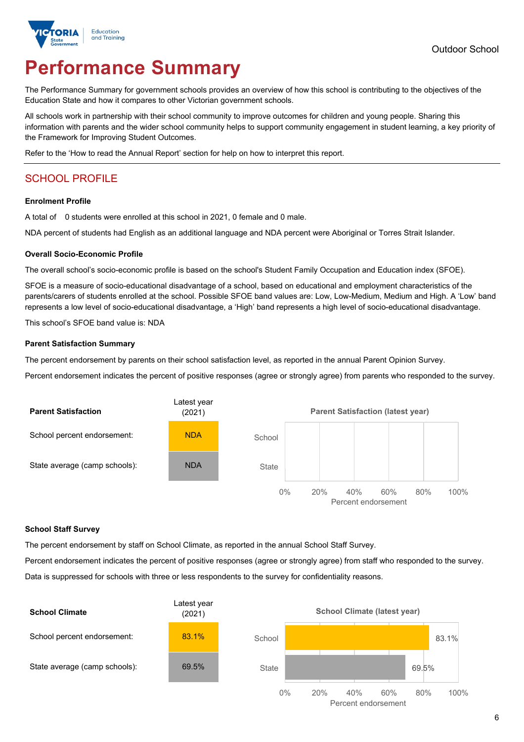

# **Performance Summary**

The Performance Summary for government schools provides an overview of how this school is contributing to the objectives of the Education State and how it compares to other Victorian government schools.

All schools work in partnership with their school community to improve outcomes for children and young people. Sharing this information with parents and the wider school community helps to support community engagement in student learning, a key priority of the Framework for Improving Student Outcomes.

Refer to the 'How to read the Annual Report' section for help on how to interpret this report.

## SCHOOL PROFILE

#### **Enrolment Profile**

A total of 0 students were enrolled at this school in 2021, 0 female and 0 male.

NDA percent of students had English as an additional language and NDA percent were Aboriginal or Torres Strait Islander.

#### **Overall Socio-Economic Profile**

The overall school's socio-economic profile is based on the school's Student Family Occupation and Education index (SFOE).

SFOE is a measure of socio-educational disadvantage of a school, based on educational and employment characteristics of the parents/carers of students enrolled at the school. Possible SFOE band values are: Low, Low-Medium, Medium and High. A 'Low' band represents a low level of socio-educational disadvantage, a 'High' band represents a high level of socio-educational disadvantage.

This school's SFOE band value is: NDA

#### **Parent Satisfaction Summary**

The percent endorsement by parents on their school satisfaction level, as reported in the annual Parent Opinion Survey.

Percent endorsement indicates the percent of positive responses (agree or strongly agree) from parents who responded to the survey.



#### **School Staff Survey**

The percent endorsement by staff on School Climate, as reported in the annual School Staff Survey.

Percent endorsement indicates the percent of positive responses (agree or strongly agree) from staff who responded to the survey. Data is suppressed for schools with three or less respondents to the survey for confidentiality reasons.

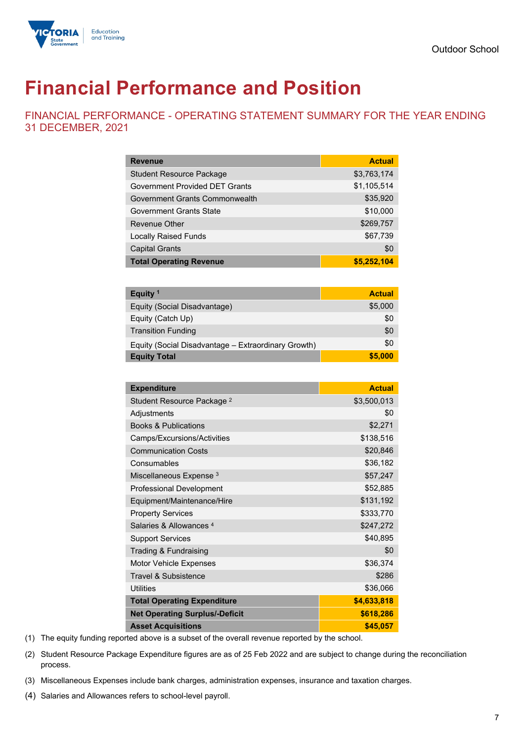

# **Financial Performance and Position**

FINANCIAL PERFORMANCE - OPERATING STATEMENT SUMMARY FOR THE YEAR ENDING 31 DECEMBER, 2021

| <b>Revenue</b>                        | <b>Actual</b> |
|---------------------------------------|---------------|
| <b>Student Resource Package</b>       | \$3,763,174   |
| <b>Government Provided DET Grants</b> | \$1,105,514   |
| Government Grants Commonwealth        | \$35,920      |
| Government Grants State               | \$10,000      |
| Revenue Other                         | \$269,757     |
| <b>Locally Raised Funds</b>           | \$67,739      |
| <b>Capital Grants</b>                 | \$0           |
| <b>Total Operating Revenue</b>        | \$5,252,104   |

| Equity $1$                                          | <b>Actual</b> |
|-----------------------------------------------------|---------------|
| Equity (Social Disadvantage)                        | \$5,000       |
| Equity (Catch Up)                                   | \$0           |
| <b>Transition Funding</b>                           | \$0           |
| Equity (Social Disadvantage – Extraordinary Growth) | \$0           |
| <b>Equity Total</b>                                 | \$5,000       |

| <b>Expenditure</b>                    | <b>Actual</b> |
|---------------------------------------|---------------|
| Student Resource Package <sup>2</sup> | \$3,500,013   |
| Adjustments                           | \$0           |
| <b>Books &amp; Publications</b>       | \$2,271       |
| Camps/Excursions/Activities           | \$138,516     |
| <b>Communication Costs</b>            | \$20,846      |
| Consumables                           | \$36,182      |
| Miscellaneous Expense <sup>3</sup>    | \$57,247      |
| Professional Development              | \$52,885      |
| Equipment/Maintenance/Hire            | \$131,192     |
| <b>Property Services</b>              | \$333,770     |
| Salaries & Allowances <sup>4</sup>    | \$247,272     |
| <b>Support Services</b>               | \$40,895      |
| Trading & Fundraising                 | \$0           |
| Motor Vehicle Expenses                | \$36,374      |
| <b>Travel &amp; Subsistence</b>       | \$286         |
| <b>Utilities</b>                      | \$36,066      |
| <b>Total Operating Expenditure</b>    | \$4,633,818   |
| <b>Net Operating Surplus/-Deficit</b> | \$618,286     |
| <b>Asset Acquisitions</b>             | \$45,057      |

(1) The equity funding reported above is a subset of the overall revenue reported by the school.

- (2) Student Resource Package Expenditure figures are as of 25 Feb 2022 and are subject to change during the reconciliation process.
- (3) Miscellaneous Expenses include bank charges, administration expenses, insurance and taxation charges.
- (4) Salaries and Allowances refers to school-level payroll.